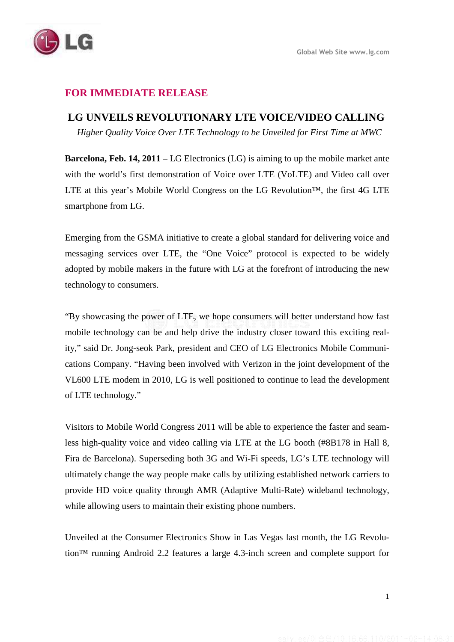

## **FOR IMMEDIATE RELEASE**

## **LG UNVEILS REVOLUTIONARY LTE VOICE/VIDEO CALLING**

 *Higher Quality Voice Over LTE Technology to be Unveiled for First Time at MWC* 

**Barcelona, Feb. 14, 2011** – LG Electronics (LG) is aiming to up the mobile market ante with the world's first demonstration of Voice over LTE (VoLTE) and Video call over LTE at this year's Mobile World Congress on the LG Revolution<sup>™</sup>, the first 4G LTE smartphone from LG.

Emerging from the GSMA initiative to create a global standard for delivering voice and messaging services over LTE, the "One Voice" protocol is expected to be widely adopted by mobile makers in the future with LG at the forefront of introducing the new technology to consumers.

"By showcasing the power of LTE, we hope consumers will better understand how fast mobile technology can be and help drive the industry closer toward this exciting reality," said Dr. Jong-seok Park, president and CEO of LG Electronics Mobile Communications Company. "Having been involved with Verizon in the joint development of the VL600 LTE modem in 2010, LG is well positioned to continue to lead the development of LTE technology."

Visitors to Mobile World Congress 2011 will be able to experience the faster and seamless high-quality voice and video calling via LTE at the LG booth (#8B178 in Hall 8, Fira de Barcelona). Superseding both 3G and Wi-Fi speeds, LG's LTE technology will ultimately change the way people make calls by utilizing established network carriers to provide HD voice quality through AMR (Adaptive Multi-Rate) wideband technology, while allowing users to maintain their existing phone numbers.

Unveiled at the Consumer Electronics Show in Las Vegas last month, the LG Revolution™ running Android 2.2 features a large 4.3-inch screen and complete support for